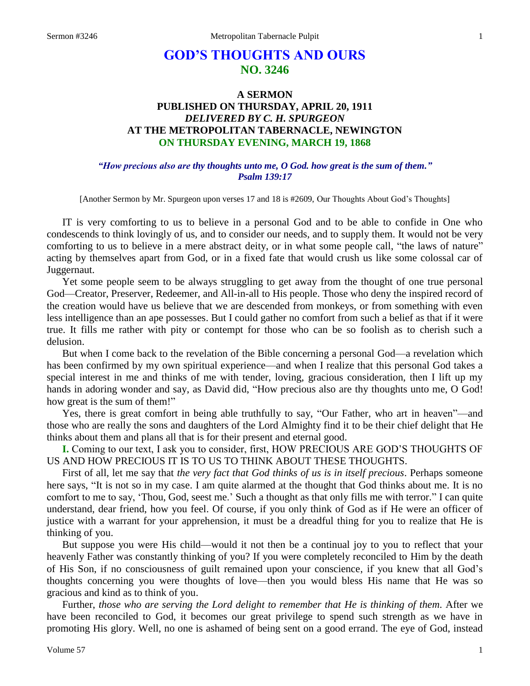# **GOD'S THOUGHTS AND OURS NO. 3246**

## **A SERMON PUBLISHED ON THURSDAY, APRIL 20, 1911** *DELIVERED BY C. H. SPURGEON* **AT THE METROPOLITAN TABERNACLE, NEWINGTON ON THURSDAY EVENING, MARCH 19, 1868**

#### *"How precious also are thy thoughts unto me, O God. how great is the sum of them." Psalm 139:17*

[Another Sermon by Mr. Spurgeon upon verses 17 and 18 is #2609, Our Thoughts About God's Thoughts]

IT is very comforting to us to believe in a personal God and to be able to confide in One who condescends to think lovingly of us, and to consider our needs, and to supply them. It would not be very comforting to us to believe in a mere abstract deity, or in what some people call, "the laws of nature" acting by themselves apart from God, or in a fixed fate that would crush us like some colossal car of Juggernaut.

Yet some people seem to be always struggling to get away from the thought of one true personal God—Creator, Preserver, Redeemer, and All-in-all to His people. Those who deny the inspired record of the creation would have us believe that we are descended from monkeys, or from something with even less intelligence than an ape possesses. But I could gather no comfort from such a belief as that if it were true. It fills me rather with pity or contempt for those who can be so foolish as to cherish such a delusion.

But when I come back to the revelation of the Bible concerning a personal God—a revelation which has been confirmed by my own spiritual experience—and when I realize that this personal God takes a special interest in me and thinks of me with tender, loving, gracious consideration, then I lift up my hands in adoring wonder and say, as David did, "How precious also are thy thoughts unto me, O God! how great is the sum of them!"

Yes, there is great comfort in being able truthfully to say, "Our Father, who art in heaven"—and those who are really the sons and daughters of the Lord Almighty find it to be their chief delight that He thinks about them and plans all that is for their present and eternal good.

**I.** Coming to our text, I ask you to consider, first, HOW PRECIOUS ARE GOD'S THOUGHTS OF US AND HOW PRECIOUS IT IS TO US TO THINK ABOUT THESE THOUGHTS.

First of all, let me say that *the very fact that God thinks of us is in itself precious*. Perhaps someone here says, "It is not so in my case. I am quite alarmed at the thought that God thinks about me. It is no comfort to me to say, 'Thou, God, seest me.' Such a thought as that only fills me with terror." I can quite understand, dear friend, how you feel. Of course, if you only think of God as if He were an officer of justice with a warrant for your apprehension, it must be a dreadful thing for you to realize that He is thinking of you.

But suppose you were His child—would it not then be a continual joy to you to reflect that your heavenly Father was constantly thinking of you? If you were completely reconciled to Him by the death of His Son, if no consciousness of guilt remained upon your conscience, if you knew that all God's thoughts concerning you were thoughts of love—then you would bless His name that He was so gracious and kind as to think of you.

Further, *those who are serving the Lord delight to remember that He is thinking of them*. After we have been reconciled to God, it becomes our great privilege to spend such strength as we have in promoting His glory. Well, no one is ashamed of being sent on a good errand. The eye of God, instead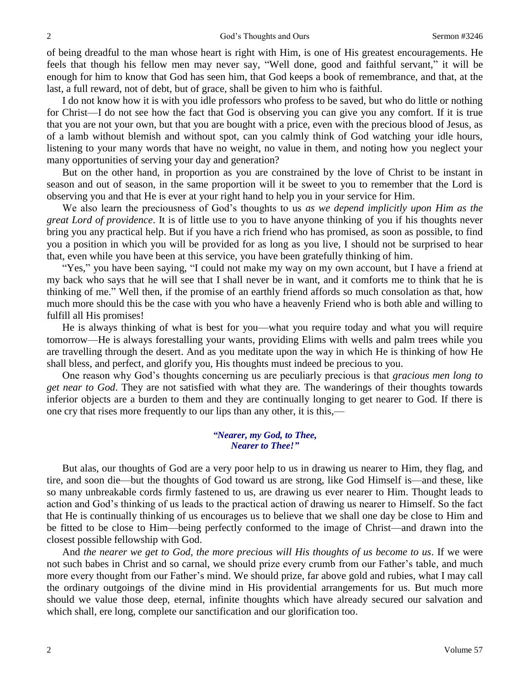of being dreadful to the man whose heart is right with Him, is one of His greatest encouragements. He feels that though his fellow men may never say, "Well done, good and faithful servant," it will be enough for him to know that God has seen him, that God keeps a book of remembrance, and that, at the last, a full reward, not of debt, but of grace, shall be given to him who is faithful.

I do not know how it is with you idle professors who profess to be saved, but who do little or nothing for Christ—I do not see how the fact that God is observing you can give you any comfort. If it is true that you are not your own, but that you are bought with a price, even with the precious blood of Jesus, as of a lamb without blemish and without spot, can you calmly think of God watching your idle hours, listening to your many words that have no weight, no value in them, and noting how you neglect your many opportunities of serving your day and generation?

But on the other hand, in proportion as you are constrained by the love of Christ to be instant in season and out of season, in the same proportion will it be sweet to you to remember that the Lord is observing you and that He is ever at your right hand to help you in your service for Him.

We also learn the preciousness of God's thoughts to us *as we depend implicitly upon Him as the great Lord of providence*. It is of little use to you to have anyone thinking of you if his thoughts never bring you any practical help. But if you have a rich friend who has promised, as soon as possible, to find you a position in which you will be provided for as long as you live, I should not be surprised to hear that, even while you have been at this service, you have been gratefully thinking of him.

"Yes," you have been saying, "I could not make my way on my own account, but I have a friend at my back who says that he will see that I shall never be in want, and it comforts me to think that he is thinking of me." Well then, if the promise of an earthly friend affords so much consolation as that, how much more should this be the case with you who have a heavenly Friend who is both able and willing to fulfill all His promises!

He is always thinking of what is best for you—what you require today and what you will require tomorrow—He is always forestalling your wants, providing Elims with wells and palm trees while you are travelling through the desert. And as you meditate upon the way in which He is thinking of how He shall bless, and perfect, and glorify you, His thoughts must indeed be precious to you.

One reason why God's thoughts concerning us are peculiarly precious is that *gracious men long to get near to God*. They are not satisfied with what they are. The wanderings of their thoughts towards inferior objects are a burden to them and they are continually longing to get nearer to God. If there is one cry that rises more frequently to our lips than any other, it is this,—

#### *"Nearer, my God, to Thee, Nearer to Thee!"*

But alas, our thoughts of God are a very poor help to us in drawing us nearer to Him, they flag, and tire, and soon die—but the thoughts of God toward us are strong, like God Himself is—and these, like so many unbreakable cords firmly fastened to us, are drawing us ever nearer to Him. Thought leads to action and God's thinking of us leads to the practical action of drawing us nearer to Himself. So the fact that He is continually thinking of us encourages us to believe that we shall one day be close to Him and be fitted to be close to Him—being perfectly conformed to the image of Christ—and drawn into the closest possible fellowship with God.

And *the nearer we get to God, the more precious will His thoughts of us become to us*. If we were not such babes in Christ and so carnal, we should prize every crumb from our Father's table, and much more every thought from our Father's mind. We should prize, far above gold and rubies, what I may call the ordinary outgoings of the divine mind in His providential arrangements for us. But much more should we value those deep, eternal, infinite thoughts which have already secured our salvation and which shall, ere long, complete our sanctification and our glorification too.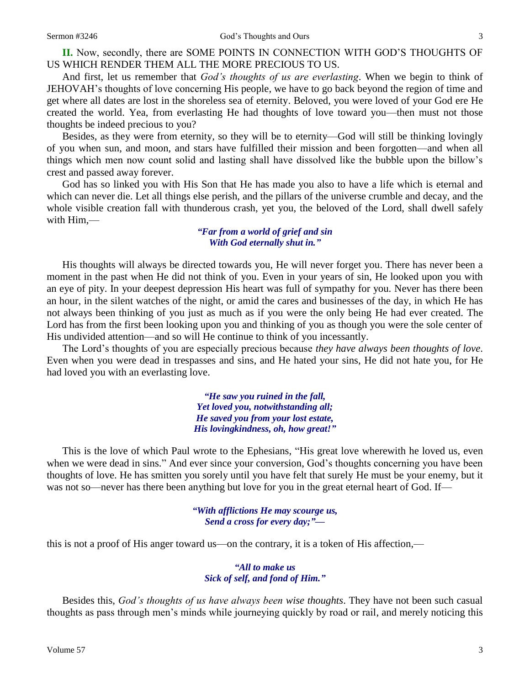**II.** Now, secondly, there are SOME POINTS IN CONNECTION WITH GOD'S THOUGHTS OF US WHICH RENDER THEM ALL THE MORE PRECIOUS TO US.

And first, let us remember that *God's thoughts of us are everlasting*. When we begin to think of JEHOVAH's thoughts of love concerning His people, we have to go back beyond the region of time and get where all dates are lost in the shoreless sea of eternity. Beloved, you were loved of your God ere He created the world. Yea, from everlasting He had thoughts of love toward you—then must not those thoughts be indeed precious to you?

Besides, as they were from eternity, so they will be to eternity—God will still be thinking lovingly of you when sun, and moon, and stars have fulfilled their mission and been forgotten—and when all things which men now count solid and lasting shall have dissolved like the bubble upon the billow's crest and passed away forever.

God has so linked you with His Son that He has made you also to have a life which is eternal and which can never die. Let all things else perish, and the pillars of the universe crumble and decay, and the whole visible creation fall with thunderous crash, yet you, the beloved of the Lord, shall dwell safely with Him,—

#### *"Far from a world of grief and sin With God eternally shut in."*

His thoughts will always be directed towards you, He will never forget you. There has never been a moment in the past when He did not think of you. Even in your years of sin, He looked upon you with an eye of pity. In your deepest depression His heart was full of sympathy for you. Never has there been an hour, in the silent watches of the night, or amid the cares and businesses of the day, in which He has not always been thinking of you just as much as if you were the only being He had ever created. The Lord has from the first been looking upon you and thinking of you as though you were the sole center of His undivided attention—and so will He continue to think of you incessantly.

The Lord's thoughts of you are especially precious because *they have always been thoughts of love*. Even when you were dead in trespasses and sins, and He hated your sins, He did not hate you, for He had loved you with an everlasting love.

> *"He saw you ruined in the fall, Yet loved you, notwithstanding all; He saved you from your lost estate, His lovingkindness, oh, how great!"*

This is the love of which Paul wrote to the Ephesians, "His great love wherewith he loved us, even when we were dead in sins." And ever since your conversion, God's thoughts concerning you have been thoughts of love. He has smitten you sorely until you have felt that surely He must be your enemy, but it was not so—never has there been anything but love for you in the great eternal heart of God. If—

> *"With afflictions He may scourge us, Send a cross for every day;"—*

this is not a proof of His anger toward us—on the contrary, it is a token of His affection,—

#### *"All to make us Sick of self, and fond of Him."*

Besides this, *God's thoughts of us have always been wise thoughts*. They have not been such casual thoughts as pass through men's minds while journeying quickly by road or rail, and merely noticing this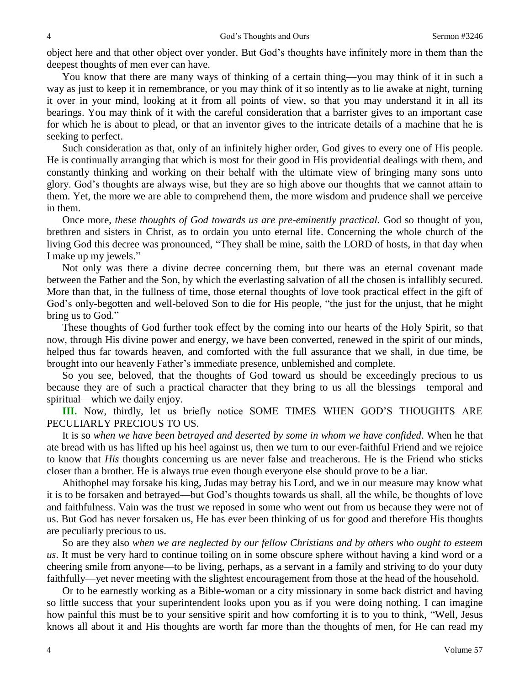object here and that other object over yonder. But God's thoughts have infinitely more in them than the deepest thoughts of men ever can have.

You know that there are many ways of thinking of a certain thing—you may think of it in such a way as just to keep it in remembrance, or you may think of it so intently as to lie awake at night, turning it over in your mind, looking at it from all points of view, so that you may understand it in all its bearings. You may think of it with the careful consideration that a barrister gives to an important case for which he is about to plead, or that an inventor gives to the intricate details of a machine that he is seeking to perfect.

Such consideration as that, only of an infinitely higher order, God gives to every one of His people. He is continually arranging that which is most for their good in His providential dealings with them, and constantly thinking and working on their behalf with the ultimate view of bringing many sons unto glory. God's thoughts are always wise, but they are so high above our thoughts that we cannot attain to them. Yet, the more we are able to comprehend them, the more wisdom and prudence shall we perceive in them.

Once more, *these thoughts of God towards us are pre-eminently practical.* God so thought of you, brethren and sisters in Christ, as to ordain you unto eternal life. Concerning the whole church of the living God this decree was pronounced, "They shall be mine, saith the LORD of hosts, in that day when I make up my jewels."

Not only was there a divine decree concerning them, but there was an eternal covenant made between the Father and the Son, by which the everlasting salvation of all the chosen is infallibly secured. More than that, in the fullness of time, those eternal thoughts of love took practical effect in the gift of God's only-begotten and well-beloved Son to die for His people, "the just for the unjust, that he might bring us to God."

These thoughts of God further took effect by the coming into our hearts of the Holy Spirit, so that now, through His divine power and energy, we have been converted, renewed in the spirit of our minds, helped thus far towards heaven, and comforted with the full assurance that we shall, in due time, be brought into our heavenly Father's immediate presence, unblemished and complete.

So you see, beloved, that the thoughts of God toward us should be exceedingly precious to us because they are of such a practical character that they bring to us all the blessings—temporal and spiritual—which we daily enjoy.

**III.** Now, thirdly, let us briefly notice SOME TIMES WHEN GOD'S THOUGHTS ARE PECULIARLY PRECIOUS TO US.

It is so *when we have been betrayed and deserted by some in whom we have confided*. When he that ate bread with us has lifted up his heel against us, then we turn to our ever-faithful Friend and we rejoice to know that *His* thoughts concerning us are never false and treacherous. He is the Friend who sticks closer than a brother. He is always true even though everyone else should prove to be a liar.

Ahithophel may forsake his king, Judas may betray his Lord, and we in our measure may know what it is to be forsaken and betrayed—but God's thoughts towards us shall, all the while, be thoughts of love and faithfulness. Vain was the trust we reposed in some who went out from us because they were not of us. But God has never forsaken us, He has ever been thinking of us for good and therefore His thoughts are peculiarly precious to us.

So are they also *when we are neglected by our fellow Christians and by others who ought to esteem us*. It must be very hard to continue toiling on in some obscure sphere without having a kind word or a cheering smile from anyone—to be living, perhaps, as a servant in a family and striving to do your duty faithfully—yet never meeting with the slightest encouragement from those at the head of the household.

Or to be earnestly working as a Bible-woman or a city missionary in some back district and having so little success that your superintendent looks upon you as if you were doing nothing. I can imagine how painful this must be to your sensitive spirit and how comforting it is to you to think, "Well, Jesus knows all about it and His thoughts are worth far more than the thoughts of men, for He can read my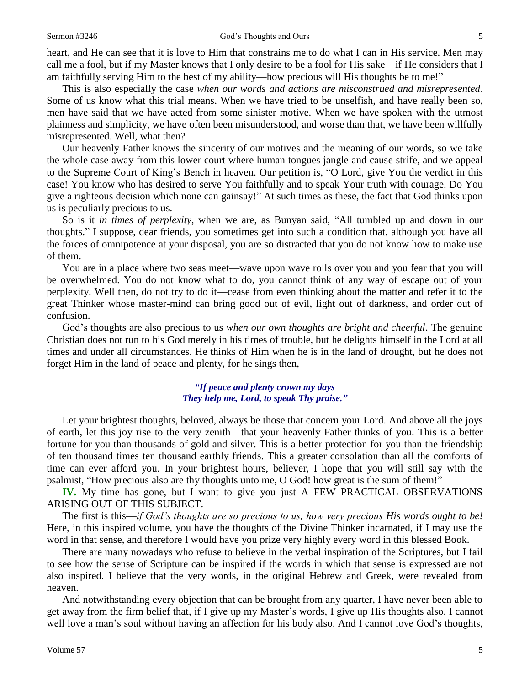heart, and He can see that it is love to Him that constrains me to do what I can in His service. Men may call me a fool, but if my Master knows that I only desire to be a fool for His sake—if He considers that I am faithfully serving Him to the best of my ability—how precious will His thoughts be to me!"

This is also especially the case *when our words and actions are misconstrued and misrepresented*. Some of us know what this trial means. When we have tried to be unselfish, and have really been so, men have said that we have acted from some sinister motive. When we have spoken with the utmost plainness and simplicity, we have often been misunderstood, and worse than that, we have been willfully misrepresented. Well, what then?

Our heavenly Father knows the sincerity of our motives and the meaning of our words, so we take the whole case away from this lower court where human tongues jangle and cause strife, and we appeal to the Supreme Court of King's Bench in heaven. Our petition is, "O Lord, give You the verdict in this case! You know who has desired to serve You faithfully and to speak Your truth with courage. Do You give a righteous decision which none can gainsay!" At such times as these, the fact that God thinks upon us is peculiarly precious to us.

So is it *in times of perplexity*, when we are, as Bunyan said, "All tumbled up and down in our thoughts." I suppose, dear friends, you sometimes get into such a condition that, although you have all the forces of omnipotence at your disposal, you are so distracted that you do not know how to make use of them.

You are in a place where two seas meet—wave upon wave rolls over you and you fear that you will be overwhelmed. You do not know what to do, you cannot think of any way of escape out of your perplexity. Well then, do not try to do it—cease from even thinking about the matter and refer it to the great Thinker whose master-mind can bring good out of evil, light out of darkness, and order out of confusion.

God's thoughts are also precious to us *when our own thoughts are bright and cheerful*. The genuine Christian does not run to his God merely in his times of trouble, but he delights himself in the Lord at all times and under all circumstances. He thinks of Him when he is in the land of drought, but he does not forget Him in the land of peace and plenty, for he sings then,—

> *"If peace and plenty crown my days They help me, Lord, to speak Thy praise."*

Let your brightest thoughts, beloved, always be those that concern your Lord. And above all the joys of earth, let this joy rise to the very zenith—that your heavenly Father thinks of you. This is a better fortune for you than thousands of gold and silver. This is a better protection for you than the friendship of ten thousand times ten thousand earthly friends. This a greater consolation than all the comforts of time can ever afford you. In your brightest hours, believer, I hope that you will still say with the psalmist, "How precious also are thy thoughts unto me, O God! how great is the sum of them!"

**IV.** My time has gone, but I want to give you just A FEW PRACTICAL OBSERVATIONS ARISING OUT OF THIS SUBJECT.

The first is this—*if God's thoughts are so precious to us, how very precious His words ought to be!* Here, in this inspired volume, you have the thoughts of the Divine Thinker incarnated, if I may use the word in that sense, and therefore I would have you prize very highly every word in this blessed Book.

There are many nowadays who refuse to believe in the verbal inspiration of the Scriptures, but I fail to see how the sense of Scripture can be inspired if the words in which that sense is expressed are not also inspired. I believe that the very words, in the original Hebrew and Greek, were revealed from heaven.

And notwithstanding every objection that can be brought from any quarter, I have never been able to get away from the firm belief that, if I give up my Master's words, I give up His thoughts also. I cannot well love a man's soul without having an affection for his body also. And I cannot love God's thoughts,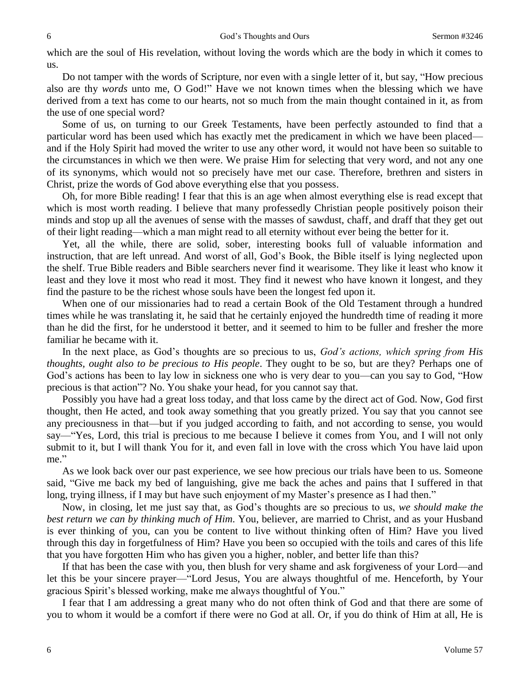which are the soul of His revelation, without loving the words which are the body in which it comes to us.

Do not tamper with the words of Scripture, nor even with a single letter of it, but say, "How precious also are thy *words* unto me, O God!" Have we not known times when the blessing which we have derived from a text has come to our hearts, not so much from the main thought contained in it, as from the use of one special word?

Some of us, on turning to our Greek Testaments, have been perfectly astounded to find that a particular word has been used which has exactly met the predicament in which we have been placed and if the Holy Spirit had moved the writer to use any other word, it would not have been so suitable to the circumstances in which we then were. We praise Him for selecting that very word, and not any one of its synonyms, which would not so precisely have met our case. Therefore, brethren and sisters in Christ, prize the words of God above everything else that you possess.

Oh, for more Bible reading! I fear that this is an age when almost everything else is read except that which is most worth reading. I believe that many professedly Christian people positively poison their minds and stop up all the avenues of sense with the masses of sawdust, chaff, and draff that they get out of their light reading—which a man might read to all eternity without ever being the better for it.

Yet, all the while, there are solid, sober, interesting books full of valuable information and instruction, that are left unread. And worst of all, God's Book, the Bible itself is lying neglected upon the shelf. True Bible readers and Bible searchers never find it wearisome. They like it least who know it least and they love it most who read it most. They find it newest who have known it longest, and they find the pasture to be the richest whose souls have been the longest fed upon it.

When one of our missionaries had to read a certain Book of the Old Testament through a hundred times while he was translating it, he said that he certainly enjoyed the hundredth time of reading it more than he did the first, for he understood it better, and it seemed to him to be fuller and fresher the more familiar he became with it.

In the next place, as God's thoughts are so precious to us, *God's actions, which spring from His thoughts, ought also to be precious to His people*. They ought to be so, but are they? Perhaps one of God's actions has been to lay low in sickness one who is very dear to you—can you say to God, "How precious is that action"? No. You shake your head, for you cannot say that.

Possibly you have had a great loss today, and that loss came by the direct act of God. Now, God first thought, then He acted, and took away something that you greatly prized. You say that you cannot see any preciousness in that—but if you judged according to faith, and not according to sense, you would say—"Yes, Lord, this trial is precious to me because I believe it comes from You, and I will not only submit to it, but I will thank You for it, and even fall in love with the cross which You have laid upon me."

As we look back over our past experience, we see how precious our trials have been to us. Someone said, "Give me back my bed of languishing, give me back the aches and pains that I suffered in that long, trying illness, if I may but have such enjoyment of my Master's presence as I had then."

Now, in closing, let me just say that, as God's thoughts are so precious to us, *we should make the best return we can by thinking much of Him*. You, believer, are married to Christ, and as your Husband is ever thinking of you, can you be content to live without thinking often of Him? Have you lived through this day in forgetfulness of Him? Have you been so occupied with the toils and cares of this life that you have forgotten Him who has given you a higher, nobler, and better life than this?

If that has been the case with you, then blush for very shame and ask forgiveness of your Lord—and let this be your sincere prayer—"Lord Jesus, You are always thoughtful of me. Henceforth, by Your gracious Spirit's blessed working, make me always thoughtful of You."

I fear that I am addressing a great many who do not often think of God and that there are some of you to whom it would be a comfort if there were no God at all. Or, if you do think of Him at all, He is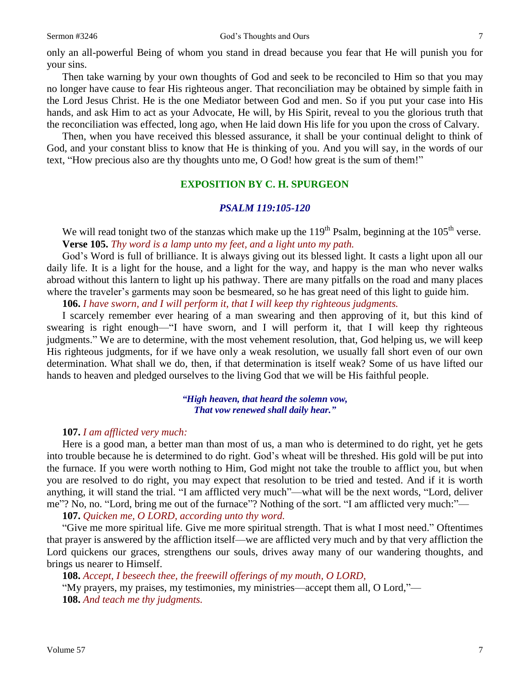only an all-powerful Being of whom you stand in dread because you fear that He will punish you for your sins.

Then take warning by your own thoughts of God and seek to be reconciled to Him so that you may no longer have cause to fear His righteous anger. That reconciliation may be obtained by simple faith in the Lord Jesus Christ. He is the one Mediator between God and men. So if you put your case into His hands, and ask Him to act as your Advocate, He will, by His Spirit, reveal to you the glorious truth that the reconciliation was effected, long ago, when He laid down His life for you upon the cross of Calvary.

Then, when you have received this blessed assurance, it shall be your continual delight to think of God, and your constant bliss to know that He is thinking of you. And you will say, in the words of our text, "How precious also are thy thoughts unto me, O God! how great is the sum of them!"

## **EXPOSITION BY C. H. SPURGEON**

#### *PSALM 119:105-120*

We will read tonight two of the stanzas which make up the  $119<sup>th</sup>$  Psalm, beginning at the  $105<sup>th</sup>$  verse. **Verse 105.** *Thy word is a lamp unto my feet, and a light unto my path.* 

God's Word is full of brilliance. It is always giving out its blessed light. It casts a light upon all our daily life. It is a light for the house, and a light for the way, and happy is the man who never walks abroad without this lantern to light up his pathway. There are many pitfalls on the road and many places where the traveler's garments may soon be besmeared, so he has great need of this light to guide him.

**106.** *I have sworn, and I will perform it, that I will keep thy righteous judgments.* 

I scarcely remember ever hearing of a man swearing and then approving of it, but this kind of swearing is right enough—"I have sworn, and I will perform it, that I will keep thy righteous judgments." We are to determine, with the most vehement resolution, that, God helping us, we will keep His righteous judgments, for if we have only a weak resolution, we usually fall short even of our own determination. What shall we do, then, if that determination is itself weak? Some of us have lifted our hands to heaven and pledged ourselves to the living God that we will be His faithful people.

> *"High heaven, that heard the solemn vow, That vow renewed shall daily hear."*

#### **107.** *I am afflicted very much:*

Here is a good man, a better man than most of us, a man who is determined to do right, yet he gets into trouble because he is determined to do right. God's wheat will be threshed. His gold will be put into the furnace. If you were worth nothing to Him, God might not take the trouble to afflict you, but when you are resolved to do right, you may expect that resolution to be tried and tested. And if it is worth anything, it will stand the trial. "I am afflicted very much"—what will be the next words, "Lord, deliver me"? No, no. "Lord, bring me out of the furnace"? Nothing of the sort. "I am afflicted very much:"—

**107.** *Quicken me, O LORD, according unto thy word.* 

"Give me more spiritual life. Give me more spiritual strength. That is what I most need." Oftentimes that prayer is answered by the affliction itself—we are afflicted very much and by that very affliction the Lord quickens our graces, strengthens our souls, drives away many of our wandering thoughts, and brings us nearer to Himself.

**108.** *Accept, I beseech thee, the freewill offerings of my mouth, O LORD,*

"My prayers, my praises, my testimonies, my ministries—accept them all, O Lord,"— **108.** *And teach me thy judgments.*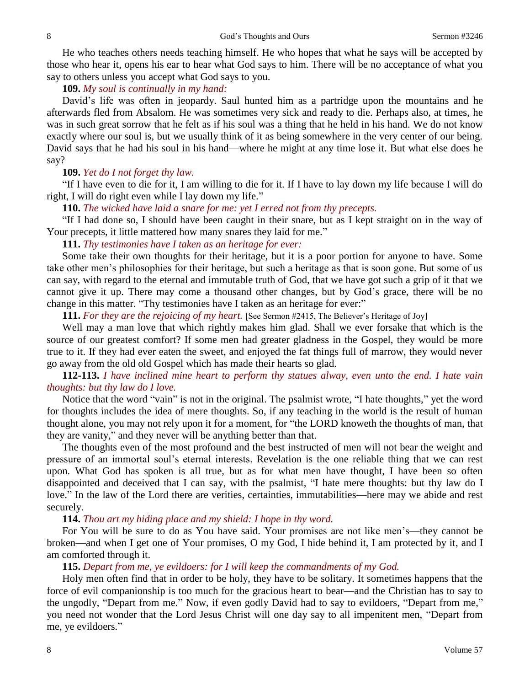He who teaches others needs teaching himself. He who hopes that what he says will be accepted by those who hear it, opens his ear to hear what God says to him. There will be no acceptance of what you say to others unless you accept what God says to you.

### **109.** *My soul is continually in my hand:*

David's life was often in jeopardy. Saul hunted him as a partridge upon the mountains and he afterwards fled from Absalom. He was sometimes very sick and ready to die. Perhaps also, at times, he was in such great sorrow that he felt as if his soul was a thing that he held in his hand. We do not know exactly where our soul is, but we usually think of it as being somewhere in the very center of our being. David says that he had his soul in his hand—where he might at any time lose it. But what else does he say?

#### **109.** *Yet do I not forget thy law.*

"If I have even to die for it, I am willing to die for it. If I have to lay down my life because I will do right, I will do right even while I lay down my life."

**110.** *The wicked have laid a snare for me: yet I erred not from thy precepts.* 

"If I had done so, I should have been caught in their snare, but as I kept straight on in the way of Your precepts, it little mattered how many snares they laid for me."

### **111.** *Thy testimonies have I taken as an heritage for ever:*

Some take their own thoughts for their heritage, but it is a poor portion for anyone to have. Some take other men's philosophies for their heritage, but such a heritage as that is soon gone. But some of us can say, with regard to the eternal and immutable truth of God, that we have got such a grip of it that we cannot give it up. There may come a thousand other changes, but by God's grace, there will be no change in this matter. "Thy testimonies have I taken as an heritage for ever:"

**111.** For they are the rejoicing of my heart. [See Sermon #2415, The Believer's Heritage of Joy]

Well may a man love that which rightly makes him glad. Shall we ever forsake that which is the source of our greatest comfort? If some men had greater gladness in the Gospel, they would be more true to it. If they had ever eaten the sweet, and enjoyed the fat things full of marrow, they would never go away from the old old Gospel which has made their hearts so glad.

## **112-113.** *I have inclined mine heart to perform thy statues alway, even unto the end. I hate vain thoughts: but thy law do I love.*

Notice that the word "vain" is not in the original. The psalmist wrote, "I hate thoughts," yet the word for thoughts includes the idea of mere thoughts. So, if any teaching in the world is the result of human thought alone, you may not rely upon it for a moment, for "the LORD knoweth the thoughts of man, that they are vanity," and they never will be anything better than that.

The thoughts even of the most profound and the best instructed of men will not bear the weight and pressure of an immortal soul's eternal interests. Revelation is the one reliable thing that we can rest upon. What God has spoken is all true, but as for what men have thought, I have been so often disappointed and deceived that I can say, with the psalmist, "I hate mere thoughts: but thy law do I love." In the law of the Lord there are verities, certainties, immutabilities—here may we abide and rest securely.

### **114.** *Thou art my hiding place and my shield: I hope in thy word.*

For You will be sure to do as You have said. Your promises are not like men's—they cannot be broken—and when I get one of Your promises, O my God, I hide behind it, I am protected by it, and I am comforted through it.

### **115.** *Depart from me, ye evildoers: for I will keep the commandments of my God.*

Holy men often find that in order to be holy, they have to be solitary. It sometimes happens that the force of evil companionship is too much for the gracious heart to bear—and the Christian has to say to the ungodly, "Depart from me." Now, if even godly David had to say to evildoers, "Depart from me," you need not wonder that the Lord Jesus Christ will one day say to all impenitent men, "Depart from me, ye evildoers."